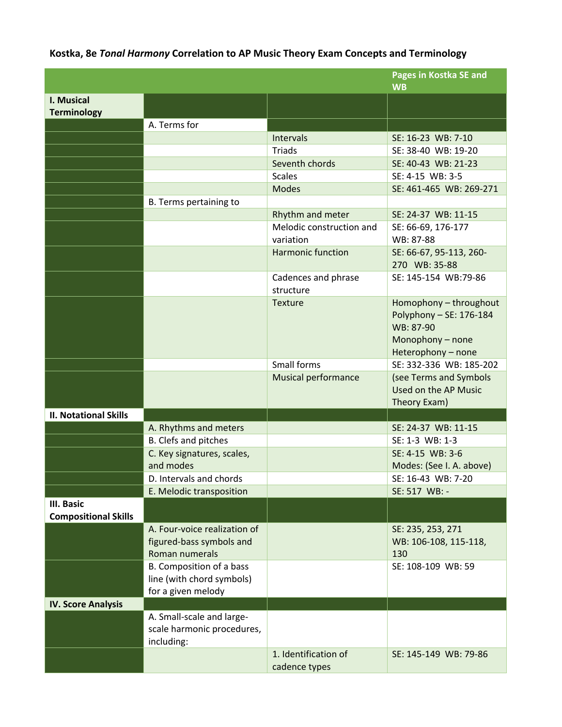## **Kostka, 8e** *Tonal Harmony* **Correlation to AP Music Theory Exam Concepts and Terminology**

|                                                  |                                                                             |                                       | Pages in Kostka SE and<br><b>WB</b>                                                                      |
|--------------------------------------------------|-----------------------------------------------------------------------------|---------------------------------------|----------------------------------------------------------------------------------------------------------|
| I. Musical<br><b>Terminology</b>                 |                                                                             |                                       |                                                                                                          |
|                                                  | A. Terms for                                                                |                                       |                                                                                                          |
|                                                  |                                                                             | Intervals                             | SE: 16-23 WB: 7-10                                                                                       |
|                                                  |                                                                             | Triads                                | SE: 38-40 WB: 19-20                                                                                      |
|                                                  |                                                                             | Seventh chords                        | SE: 40-43 WB: 21-23                                                                                      |
|                                                  |                                                                             | <b>Scales</b>                         | SE: 4-15 WB: 3-5                                                                                         |
|                                                  |                                                                             | <b>Modes</b>                          | SE: 461-465 WB: 269-271                                                                                  |
|                                                  | B. Terms pertaining to                                                      |                                       |                                                                                                          |
|                                                  |                                                                             | Rhythm and meter                      | SE: 24-37 WB: 11-15                                                                                      |
|                                                  |                                                                             | Melodic construction and              | SE: 66-69, 176-177                                                                                       |
|                                                  |                                                                             | variation                             | WB: 87-88                                                                                                |
|                                                  |                                                                             | <b>Harmonic function</b>              | SE: 66-67, 95-113, 260-<br>270 WB: 35-88                                                                 |
|                                                  |                                                                             | Cadences and phrase                   | SE: 145-154 WB:79-86                                                                                     |
|                                                  |                                                                             | structure                             |                                                                                                          |
|                                                  |                                                                             | Texture                               | Homophony - throughout<br>Polyphony - SE: 176-184<br>WB: 87-90<br>Monophony - none<br>Heterophony - none |
|                                                  |                                                                             | Small forms                           | SE: 332-336 WB: 185-202                                                                                  |
|                                                  |                                                                             | <b>Musical performance</b>            | (see Terms and Symbols<br>Used on the AP Music<br>Theory Exam)                                           |
| <b>II. Notational Skills</b>                     |                                                                             |                                       |                                                                                                          |
|                                                  | A. Rhythms and meters                                                       |                                       | SE: 24-37 WB: 11-15                                                                                      |
|                                                  | B. Clefs and pitches                                                        |                                       | SE: 1-3 WB: 1-3                                                                                          |
|                                                  | C. Key signatures, scales,                                                  |                                       | SE: 4-15 WB: 3-6                                                                                         |
|                                                  | and modes                                                                   |                                       | Modes: (See I. A. above)                                                                                 |
|                                                  | D. Intervals and chords                                                     |                                       | SE: 16-43 WB: 7-20                                                                                       |
|                                                  | E. Melodic transposition                                                    |                                       | SE: 517 WB: -                                                                                            |
| <b>III. Basic</b><br><b>Compositional Skills</b> |                                                                             |                                       |                                                                                                          |
|                                                  | A. Four-voice realization of<br>figured-bass symbols and<br>Roman numerals  |                                       | SE: 235, 253, 271<br>WB: 106-108, 115-118,<br>130                                                        |
|                                                  | B. Composition of a bass<br>line (with chord symbols)<br>for a given melody |                                       | SE: 108-109 WB: 59                                                                                       |
| <b>IV. Score Analysis</b>                        |                                                                             |                                       |                                                                                                          |
|                                                  | A. Small-scale and large-<br>scale harmonic procedures,<br>including:       |                                       |                                                                                                          |
|                                                  |                                                                             | 1. Identification of<br>cadence types | SE: 145-149 WB: 79-86                                                                                    |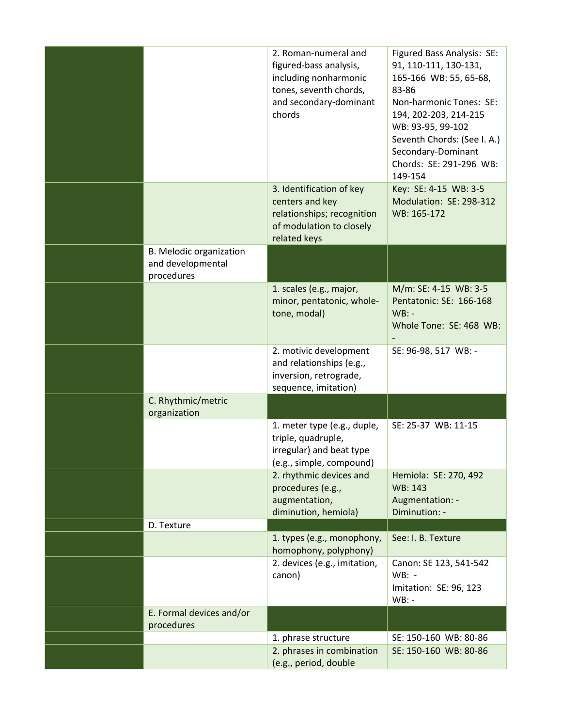|                                                            | 2. Roman-numeral and<br>figured-bass analysis,<br>including nonharmonic<br>tones, seventh chords,<br>and secondary-dominant<br>chords | Figured Bass Analysis: SE:<br>91, 110-111, 130-131,<br>165-166 WB: 55, 65-68,<br>83-86<br>Non-harmonic Tones: SE:<br>194, 202-203, 214-215<br>WB: 93-95, 99-102<br>Seventh Chords: (See I. A.)<br>Secondary-Dominant<br>Chords: SE: 291-296 WB:<br>149-154 |
|------------------------------------------------------------|---------------------------------------------------------------------------------------------------------------------------------------|------------------------------------------------------------------------------------------------------------------------------------------------------------------------------------------------------------------------------------------------------------|
|                                                            | 3. Identification of key<br>centers and key<br>relationships; recognition<br>of modulation to closely<br>related keys                 | Key: SE: 4-15 WB: 3-5<br>Modulation: SE: 298-312<br>WB: 165-172                                                                                                                                                                                            |
| B. Melodic organization<br>and developmental<br>procedures |                                                                                                                                       |                                                                                                                                                                                                                                                            |
|                                                            | 1. scales (e.g., major,<br>minor, pentatonic, whole-<br>tone, modal)                                                                  | M/m: SE: 4-15 WB: 3-5<br>Pentatonic: SE: 166-168<br>$WB: -$<br>Whole Tone: SE: 468 WB:                                                                                                                                                                     |
|                                                            | 2. motivic development<br>and relationships (e.g.,<br>inversion, retrograde,<br>sequence, imitation)                                  | SE: 96-98, 517 WB: -                                                                                                                                                                                                                                       |
| C. Rhythmic/metric<br>organization                         |                                                                                                                                       |                                                                                                                                                                                                                                                            |
|                                                            | 1. meter type (e.g., duple,<br>triple, quadruple,<br>irregular) and beat type<br>(e.g., simple, compound)                             | SE: 25-37 WB: 11-15                                                                                                                                                                                                                                        |
|                                                            | 2. rhythmic devices and<br>procedures (e.g.,<br>augmentation,<br>diminution, hemiola)                                                 | Hemiola: SE: 270, 492<br>WB: 143<br>Augmentation: -<br>Diminution: -                                                                                                                                                                                       |
| D. Texture                                                 |                                                                                                                                       |                                                                                                                                                                                                                                                            |
|                                                            | 1. types (e.g., monophony,<br>homophony, polyphony)                                                                                   | See: I. B. Texture                                                                                                                                                                                                                                         |
|                                                            | canon)                                                                                                                                | $WB: -$<br>Imitation: SE: 96, 123<br>$WB: -$                                                                                                                                                                                                               |
|                                                            |                                                                                                                                       |                                                                                                                                                                                                                                                            |
| E. Formal devices and/or                                   |                                                                                                                                       |                                                                                                                                                                                                                                                            |
| procedures                                                 | 1. phrase structure                                                                                                                   | SE: 150-160 WB: 80-86                                                                                                                                                                                                                                      |
|                                                            | 2. devices (e.g., imitation,                                                                                                          | Canon: SE 123, 541-542                                                                                                                                                                                                                                     |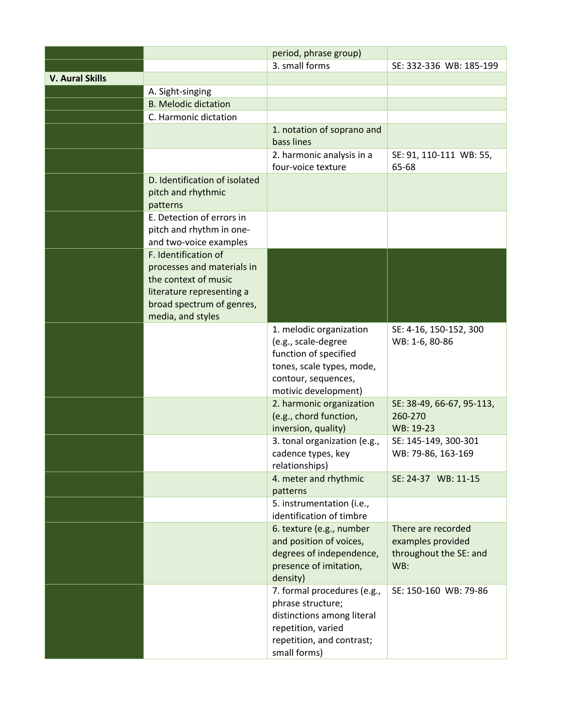|                        |                                                                                                                                                           | period, phrase group)                                                                                                                               |                                                                          |
|------------------------|-----------------------------------------------------------------------------------------------------------------------------------------------------------|-----------------------------------------------------------------------------------------------------------------------------------------------------|--------------------------------------------------------------------------|
|                        |                                                                                                                                                           | 3. small forms                                                                                                                                      | SE: 332-336 WB: 185-199                                                  |
| <b>V. Aural Skills</b> |                                                                                                                                                           |                                                                                                                                                     |                                                                          |
|                        | A. Sight-singing                                                                                                                                          |                                                                                                                                                     |                                                                          |
|                        | <b>B. Melodic dictation</b>                                                                                                                               |                                                                                                                                                     |                                                                          |
|                        | C. Harmonic dictation                                                                                                                                     |                                                                                                                                                     |                                                                          |
|                        |                                                                                                                                                           | 1. notation of soprano and<br>bass lines                                                                                                            |                                                                          |
|                        |                                                                                                                                                           | 2. harmonic analysis in a<br>four-voice texture                                                                                                     | SE: 91, 110-111 WB: 55,<br>65-68                                         |
|                        | D. Identification of isolated<br>pitch and rhythmic<br>patterns                                                                                           |                                                                                                                                                     |                                                                          |
|                        | E. Detection of errors in<br>pitch and rhythm in one-<br>and two-voice examples                                                                           |                                                                                                                                                     |                                                                          |
|                        | F. Identification of<br>processes and materials in<br>the context of music<br>literature representing a<br>broad spectrum of genres,<br>media, and styles |                                                                                                                                                     |                                                                          |
|                        |                                                                                                                                                           | 1. melodic organization<br>(e.g., scale-degree<br>function of specified<br>tones, scale types, mode,<br>contour, sequences,<br>motivic development) | SE: 4-16, 150-152, 300<br>WB: 1-6, 80-86                                 |
|                        |                                                                                                                                                           | 2. harmonic organization<br>(e.g., chord function,<br>inversion, quality)                                                                           | SE: 38-49, 66-67, 95-113,<br>260-270<br>WB: 19-23                        |
|                        |                                                                                                                                                           | 3. tonal organization (e.g.,<br>cadence types, key<br>relationships)                                                                                | SE: 145-149, 300-301<br>WB: 79-86, 163-169                               |
|                        |                                                                                                                                                           | 4. meter and rhythmic<br>patterns                                                                                                                   | SE: 24-37 WB: 11-15                                                      |
|                        |                                                                                                                                                           | 5. instrumentation (i.e.,<br>identification of timbre                                                                                               |                                                                          |
|                        |                                                                                                                                                           | 6. texture (e.g., number<br>and position of voices,<br>degrees of independence,<br>presence of imitation,<br>density)                               | There are recorded<br>examples provided<br>throughout the SE: and<br>WB: |
|                        |                                                                                                                                                           | 7. formal procedures (e.g.,<br>phrase structure;<br>distinctions among literal<br>repetition, varied<br>repetition, and contrast;<br>small forms)   | SE: 150-160 WB: 79-86                                                    |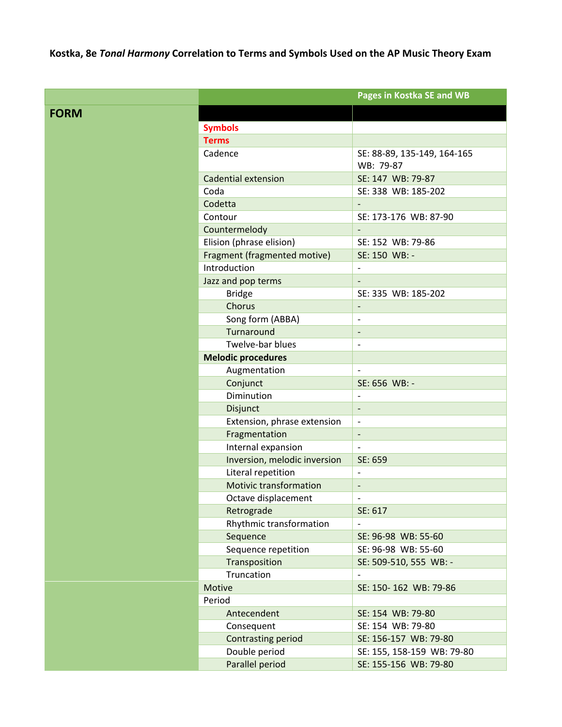**Kostka, 8e** *Tonal Harmony* **Correlation to Terms and Symbols Used on the AP Music Theory Exam**

|             |                               | Pages in Kostka SE and WB    |
|-------------|-------------------------------|------------------------------|
| <b>FORM</b> |                               |                              |
|             | <b>Symbols</b>                |                              |
|             | <b>Terms</b>                  |                              |
|             | Cadence                       | SE: 88-89, 135-149, 164-165  |
|             |                               | WB: 79-87                    |
|             | <b>Cadential extension</b>    | SE: 147 WB: 79-87            |
|             | Coda                          | SE: 338 WB: 185-202          |
|             | Codetta                       |                              |
|             | Contour                       | SE: 173-176 WB: 87-90        |
|             | Countermelody                 |                              |
|             | Elision (phrase elision)      | SE: 152 WB: 79-86            |
|             | Fragment (fragmented motive)  | SE: 150 WB: -                |
|             | Introduction                  | $\overline{\phantom{a}}$     |
|             | Jazz and pop terms            |                              |
|             | <b>Bridge</b>                 | SE: 335 WB: 185-202          |
|             | Chorus                        | $\overline{\phantom{a}}$     |
|             | Song form (ABBA)              | $\overline{a}$               |
|             | Turnaround                    | $\overline{\phantom{a}}$     |
|             | Twelve-bar blues              | $\overline{\phantom{a}}$     |
|             | <b>Melodic procedures</b>     |                              |
|             | Augmentation                  |                              |
|             | Conjunct                      | SE: 656 WB: -                |
|             | Diminution                    |                              |
|             | Disjunct                      | $\overline{\phantom{a}}$     |
|             | Extension, phrase extension   | $\overline{\phantom{a}}$     |
|             | Fragmentation                 | $\overline{a}$               |
|             | Internal expansion            |                              |
|             | Inversion, melodic inversion  | SE: 659                      |
|             | Literal repetition            | $\overline{a}$               |
|             | <b>Motivic transformation</b> | $\qquad \qquad \blacksquare$ |
|             | Octave displacement           | $\overline{a}$               |
|             | Retrograde                    | SE: 617                      |
|             | Rhythmic transformation       |                              |
|             | Sequence                      | SE: 96-98 WB: 55-60          |
|             | Sequence repetition           | SE: 96-98 WB: 55-60          |
|             | Transposition                 | SE: 509-510, 555 WB: -       |
|             | Truncation                    |                              |
|             | Motive                        | SE: 150-162 WB: 79-86        |
|             | Period                        |                              |
|             | Antecendent                   | SE: 154 WB: 79-80            |
|             | Consequent                    | SE: 154 WB: 79-80            |
|             | <b>Contrasting period</b>     | SE: 156-157 WB: 79-80        |
|             | Double period                 | SE: 155, 158-159 WB: 79-80   |
|             | Parallel period               | SE: 155-156 WB: 79-80        |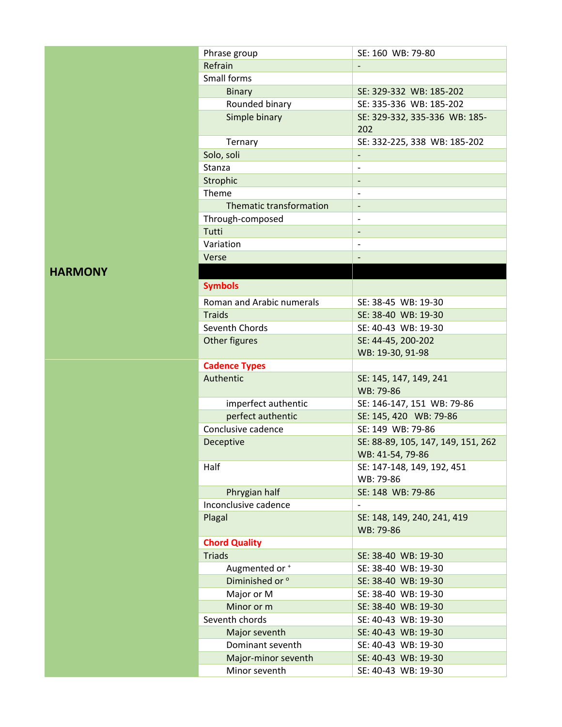| Phrase group                         | SE: 160 WB: 79-80                          |  |
|--------------------------------------|--------------------------------------------|--|
| Refrain                              |                                            |  |
| Small forms                          |                                            |  |
| <b>Binary</b>                        | SE: 329-332 WB: 185-202                    |  |
| Rounded binary                       | SE: 335-336 WB: 185-202                    |  |
| Simple binary                        | SE: 329-332, 335-336 WB: 185-              |  |
|                                      | 202                                        |  |
| Ternary                              | SE: 332-225, 338 WB: 185-202               |  |
| Solo, soli                           |                                            |  |
| Stanza                               | $\overline{a}$                             |  |
| Strophic                             | -                                          |  |
| Theme                                |                                            |  |
| Thematic transformation              |                                            |  |
| Through-composed                     |                                            |  |
| Tutti                                |                                            |  |
| Variation                            |                                            |  |
| Verse                                |                                            |  |
|                                      |                                            |  |
| <b>Symbols</b>                       |                                            |  |
|                                      |                                            |  |
| Roman and Arabic numerals            | SE: 38-45 WB: 19-30                        |  |
| <b>Traids</b>                        | SE: 38-40 WB: 19-30                        |  |
| Seventh Chords                       | SE: 40-43 WB: 19-30                        |  |
| Other figures                        | SE: 44-45, 200-202                         |  |
|                                      | WB: 19-30, 91-98                           |  |
| <b>Cadence Types</b>                 |                                            |  |
|                                      |                                            |  |
| Authentic                            | SE: 145, 147, 149, 241                     |  |
|                                      | WB: 79-86                                  |  |
| imperfect authentic                  | SE: 146-147, 151 WB: 79-86                 |  |
| perfect authentic                    | SE: 145, 420 WB: 79-86                     |  |
| Conclusive cadence                   | SE: 149 WB: 79-86                          |  |
| Deceptive                            | SE: 88-89, 105, 147, 149, 151, 262         |  |
|                                      | WB: 41-54, 79-86                           |  |
| Half                                 | SE: 147-148, 149, 192, 451                 |  |
|                                      | WB: 79-86                                  |  |
| Phrygian half                        | SE: 148 WB: 79-86                          |  |
| Inconclusive cadence                 |                                            |  |
| Plagal                               | SE: 148, 149, 240, 241, 419                |  |
|                                      | WB: 79-86                                  |  |
| <b>Chord Quality</b>                 |                                            |  |
| <b>Triads</b>                        | SE: 38-40 WB: 19-30                        |  |
| Augmented or +                       | SE: 38-40 WB: 19-30                        |  |
| Diminished or °                      | SE: 38-40 WB: 19-30                        |  |
| Major or M                           | SE: 38-40 WB: 19-30                        |  |
| Minor or m                           | SE: 38-40 WB: 19-30                        |  |
| Seventh chords                       | SE: 40-43 WB: 19-30                        |  |
| Major seventh                        | SE: 40-43 WB: 19-30                        |  |
| Dominant seventh                     | SE: 40-43 WB: 19-30                        |  |
| Major-minor seventh<br>Minor seventh | SE: 40-43 WB: 19-30<br>SE: 40-43 WB: 19-30 |  |

## **HARMONY**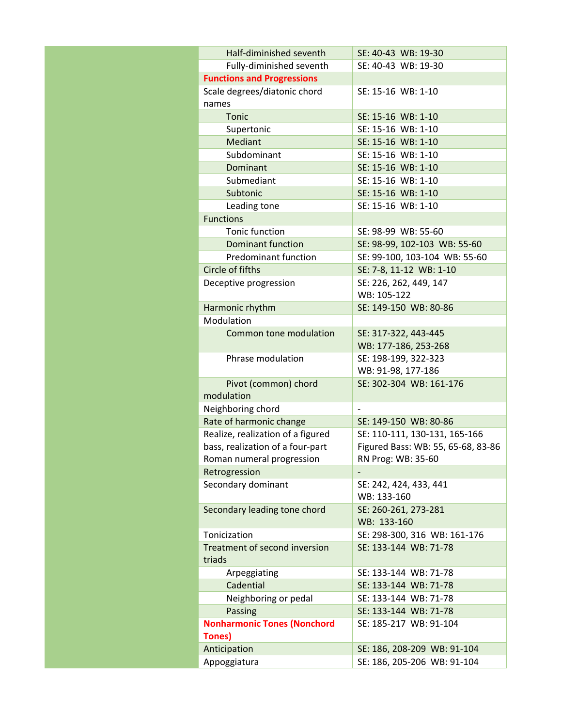| Half-diminished seventh            | SE: 40-43 WB: 19-30                                   |  |
|------------------------------------|-------------------------------------------------------|--|
| Fully-diminished seventh           | SE: 40-43 WB: 19-30                                   |  |
| <b>Functions and Progressions</b>  |                                                       |  |
| Scale degrees/diatonic chord       | SE: 15-16 WB: 1-10                                    |  |
| names                              |                                                       |  |
| Tonic                              | SE: 15-16 WB: 1-10                                    |  |
| Supertonic                         | SE: 15-16 WB: 1-10                                    |  |
| <b>Mediant</b>                     | SE: 15-16 WB: 1-10                                    |  |
| Subdominant                        | SE: 15-16 WB: 1-10                                    |  |
| Dominant                           | SE: 15-16 WB: 1-10                                    |  |
| Submediant                         | SE: 15-16 WB: 1-10                                    |  |
| Subtonic                           | SE: 15-16 WB: 1-10                                    |  |
| Leading tone                       | SE: 15-16 WB: 1-10                                    |  |
| <b>Functions</b>                   |                                                       |  |
| Tonic function                     | SE: 98-99 WB: 55-60                                   |  |
| <b>Dominant function</b>           | SE: 98-99, 102-103 WB: 55-60                          |  |
| <b>Predominant function</b>        | SE: 99-100, 103-104 WB: 55-60                         |  |
| Circle of fifths                   | SE: 7-8, 11-12 WB: 1-10                               |  |
| Deceptive progression              | SE: 226, 262, 449, 147                                |  |
|                                    | WB: 105-122                                           |  |
| Harmonic rhythm                    | SE: 149-150 WB: 80-86                                 |  |
| Modulation                         |                                                       |  |
| <b>Common tone modulation</b>      | SE: 317-322, 443-445                                  |  |
|                                    | WB: 177-186, 253-268                                  |  |
| Phrase modulation                  | SE: 198-199, 322-323                                  |  |
|                                    | WB: 91-98, 177-186                                    |  |
| Pivot (common) chord               | SE: 302-304 WB: 161-176                               |  |
| modulation                         |                                                       |  |
| Neighboring chord                  |                                                       |  |
| Rate of harmonic change            | SE: 149-150 WB: 80-86                                 |  |
| Realize, realization of a figured  | SE: 110-111, 130-131, 165-166                         |  |
| bass, realization of a four-part   | Figured Bass: WB: 55, 65-68, 83-86                    |  |
| Roman numeral progression          | RN Prog: WB: 35-60                                    |  |
| Retrogression                      |                                                       |  |
| Secondary dominant                 | SE: 242, 424, 433, 441                                |  |
|                                    | WB: 133-160                                           |  |
| Secondary leading tone chord       | SE: 260-261, 273-281<br>WB: 133-160                   |  |
| Tonicization                       |                                                       |  |
| Treatment of second inversion      | SE: 298-300, 316 WB: 161-176<br>SE: 133-144 WB: 71-78 |  |
| triads                             |                                                       |  |
| Arpeggiating                       | SE: 133-144 WB: 71-78                                 |  |
| Cadential                          | SE: 133-144 WB: 71-78                                 |  |
| Neighboring or pedal               | SE: 133-144 WB: 71-78                                 |  |
| Passing                            | SE: 133-144 WB: 71-78                                 |  |
| <b>Nonharmonic Tones (Nonchord</b> | SE: 185-217 WB: 91-104                                |  |
| Tones)                             |                                                       |  |
| Anticipation                       | SE: 186, 208-209 WB: 91-104                           |  |
| Appoggiatura                       | SE: 186, 205-206 WB: 91-104                           |  |
|                                    |                                                       |  |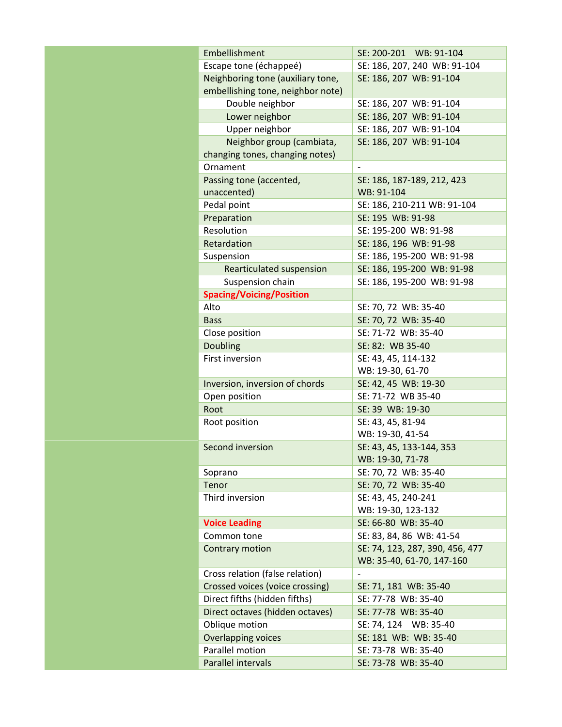| Embellishment                     | SE: 200-201 WB: 91-104          |  |
|-----------------------------------|---------------------------------|--|
| Escape tone (échappeé)            | SE: 186, 207, 240 WB: 91-104    |  |
| Neighboring tone (auxiliary tone, | SE: 186, 207 WB: 91-104         |  |
| embellishing tone, neighbor note) |                                 |  |
| Double neighbor                   | SE: 186, 207 WB: 91-104         |  |
| Lower neighbor                    | SE: 186, 207 WB: 91-104         |  |
| Upper neighbor                    | SE: 186, 207 WB: 91-104         |  |
| Neighbor group (cambiata,         | SE: 186, 207 WB: 91-104         |  |
| changing tones, changing notes)   |                                 |  |
| Ornament                          | $\overline{a}$                  |  |
| Passing tone (accented,           | SE: 186, 187-189, 212, 423      |  |
| unaccented)                       | WB: 91-104                      |  |
| Pedal point                       | SE: 186, 210-211 WB: 91-104     |  |
| Preparation                       | SE: 195 WB: 91-98               |  |
| Resolution                        | SE: 195-200 WB: 91-98           |  |
| Retardation                       | SE: 186, 196 WB: 91-98          |  |
| Suspension                        | SE: 186, 195-200 WB: 91-98      |  |
| Rearticulated suspension          | SE: 186, 195-200 WB: 91-98      |  |
| Suspension chain                  | SE: 186, 195-200 WB: 91-98      |  |
| <b>Spacing/Voicing/Position</b>   |                                 |  |
| Alto                              | SE: 70, 72 WB: 35-40            |  |
| <b>Bass</b>                       | SE: 70, 72 WB: 35-40            |  |
| Close position                    | SE: 71-72 WB: 35-40             |  |
| <b>Doubling</b>                   | SE: 82: WB 35-40                |  |
| First inversion                   | SE: 43, 45, 114-132             |  |
|                                   | WB: 19-30, 61-70                |  |
| Inversion, inversion of chords    | SE: 42, 45 WB: 19-30            |  |
| Open position                     | SE: 71-72 WB 35-40              |  |
| Root                              | SE: 39 WB: 19-30                |  |
| Root position                     | SE: 43, 45, 81-94               |  |
|                                   | WB: 19-30, 41-54                |  |
| Second inversion                  | SE: 43, 45, 133-144, 353        |  |
|                                   | WB: 19-30, 71-78                |  |
| Soprano                           | SE: 70, 72 WB: 35-40            |  |
| Tenor                             | SE: 70, 72 WB: 35-40            |  |
| Third inversion                   | SE: 43, 45, 240-241             |  |
|                                   | WB: 19-30, 123-132              |  |
| <b>Voice Leading</b>              | SE: 66-80 WB: 35-40             |  |
| Common tone                       | SE: 83, 84, 86 WB: 41-54        |  |
| Contrary motion                   | SE: 74, 123, 287, 390, 456, 477 |  |
|                                   | WB: 35-40, 61-70, 147-160       |  |
| Cross relation (false relation)   | $\overline{\phantom{0}}$        |  |
| Crossed voices (voice crossing)   | SE: 71, 181 WB: 35-40           |  |
| Direct fifths (hidden fifths)     | SE: 77-78 WB: 35-40             |  |
| Direct octaves (hidden octaves)   | SE: 77-78 WB: 35-40             |  |
| Oblique motion                    | SE: 74, 124 WB: 35-40           |  |
| Overlapping voices                | SE: 181 WB: WB: 35-40           |  |
| Parallel motion                   | SE: 73-78 WB: 35-40             |  |
| Parallel intervals                | SE: 73-78 WB: 35-40             |  |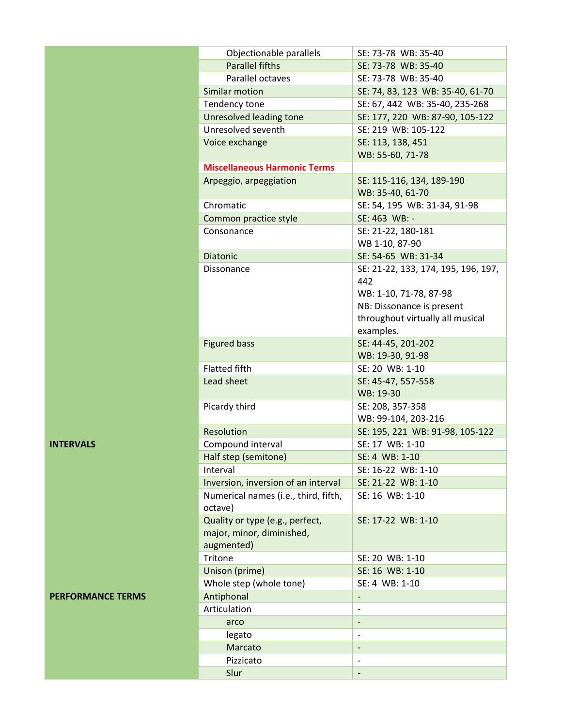| Objectionable parallels              | SE: 73-78 WB: 35-40                 |
|--------------------------------------|-------------------------------------|
| <b>Parallel fifths</b>               | SE: 73-78 WB: 35-40                 |
| Parallel octaves                     | SE: 73-78 WB: 35-40                 |
| Similar motion                       | SE: 74, 83, 123 WB: 35-40, 61-70    |
| Tendency tone                        | SE: 67, 442 WB: 35-40, 235-268      |
| Unresolved leading tone              | SE: 177, 220 WB: 87-90, 105-122     |
| Unresolved seventh                   | SE: 219 WB: 105-122                 |
| Voice exchange                       | SE: 113, 138, 451                   |
|                                      | WB: 55-60, 71-78                    |
| <b>Miscellaneous Harmonic Terms</b>  |                                     |
| Arpeggio, arpeggiation               | SE: 115-116, 134, 189-190           |
|                                      | WB: 35-40, 61-70                    |
| Chromatic                            | SE: 54, 195 WB: 31-34, 91-98        |
| Common practice style                | SE: 463 WB: -                       |
| Consonance                           | SE: 21-22, 180-181                  |
|                                      | WB 1-10, 87-90                      |
| <b>Diatonic</b>                      | SE: 54-65 WB: 31-34                 |
| Dissonance                           | SE: 21-22, 133, 174, 195, 196, 197, |
|                                      | 442                                 |
|                                      | WB: 1-10, 71-78, 87-98              |
|                                      | NB: Dissonance is present           |
|                                      | throughout virtually all musical    |
|                                      | examples.                           |
| <b>Figured bass</b>                  | SE: 44-45, 201-202                  |
|                                      | WB: 19-30, 91-98                    |
| <b>Flatted fifth</b>                 | SE: 20 WB: 1-10                     |
| Lead sheet                           | SE: 45-47, 557-558<br>WB: 19-30     |
| Picardy third                        | SE: 208, 357-358                    |
|                                      | WB: 99-104, 203-216                 |
| Resolution                           | SE: 195, 221 WB: 91-98, 105-122     |
| Compound interval                    | SE: 17 WB: 1-10                     |
| Half step (semitone)                 | SE: 4 WB: 1-10                      |
| Interval                             | SE: 16-22 WB: 1-10                  |
| Inversion, inversion of an interval  | SE: 21-22 WB: 1-10                  |
| Numerical names (i.e., third, fifth, | SE: 16 WB: 1-10                     |
| octave)                              |                                     |
| Quality or type (e.g., perfect,      | SE: 17-22 WB: 1-10                  |
| major, minor, diminished,            |                                     |
| augmented)                           |                                     |
| Tritone                              | SE: 20 WB: 1-10                     |
| Unison (prime)                       | SE: 16 WB: 1-10                     |
| Whole step (whole tone)              | SE: 4 WB: 1-10                      |
| Antiphonal                           |                                     |
| Articulation                         |                                     |
| arco                                 |                                     |
| legato                               |                                     |
| Marcato                              |                                     |
| Pizzicato                            |                                     |
| Slur                                 |                                     |
|                                      |                                     |

## **INTERVALS**

## **PERFORMANCE TERMS**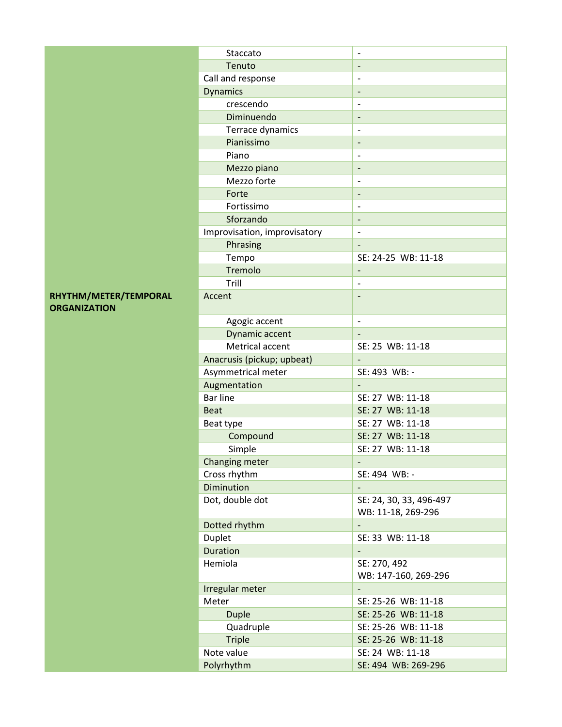|                       | Staccato                     | ÷,                                            |
|-----------------------|------------------------------|-----------------------------------------------|
|                       | Tenuto                       | $\overline{\phantom{a}}$                      |
|                       | Call and response            |                                               |
|                       | <b>Dynamics</b>              | $\qquad \qquad -$                             |
|                       | crescendo                    | $\overline{\phantom{a}}$                      |
|                       | Diminuendo                   | ÷,                                            |
|                       | Terrace dynamics             | $\overline{\phantom{a}}$                      |
|                       | Pianissimo                   | $\overline{\phantom{a}}$                      |
|                       | Piano                        | Ĭ.                                            |
|                       | Mezzo piano                  | $\qquad \qquad -$                             |
|                       | Mezzo forte                  | $\overline{a}$                                |
|                       | Forte                        | ÷,                                            |
|                       | Fortissimo                   | $\overline{\phantom{a}}$                      |
|                       | Sforzando                    | $\overline{\phantom{a}}$                      |
|                       | Improvisation, improvisatory | $\overline{\phantom{a}}$                      |
|                       | Phrasing                     |                                               |
|                       | Tempo                        | SE: 24-25 WB: 11-18                           |
|                       | Tremolo                      | $\overline{\phantom{a}}$                      |
|                       | Trill                        | $\overline{\phantom{a}}$                      |
| RHYTHM/METER/TEMPORAL | Accent                       |                                               |
| <b>ORGANIZATION</b>   |                              |                                               |
|                       | Agogic accent                | $\overline{\phantom{a}}$                      |
|                       | Dynamic accent               |                                               |
|                       | Metrical accent              | SE: 25 WB: 11-18                              |
|                       | Anacrusis (pickup; upbeat)   |                                               |
|                       | Asymmetrical meter           | SE: 493 WB: -                                 |
|                       | Augmentation                 |                                               |
|                       | <b>Bar line</b>              | SE: 27 WB: 11-18                              |
|                       | <b>Beat</b>                  | SE: 27 WB: 11-18                              |
|                       | Beat type                    | SE: 27 WB: 11-18                              |
|                       | Compound                     | SE: 27 WB: 11-18                              |
|                       | Simple                       | SE: 27 WB: 11-18                              |
|                       | Changing meter               |                                               |
|                       | Cross rhythm                 | SE: 494 WB: -                                 |
|                       | Diminution                   | $\overline{\phantom{a}}$                      |
|                       | Dot, double dot              | SE: 24, 30, 33, 496-497<br>WB: 11-18, 269-296 |
|                       | Dotted rhythm                | $\overline{\phantom{a}}$                      |
|                       | Duplet                       | SE: 33 WB: 11-18                              |
|                       | Duration                     | $\overline{\phantom{a}}$                      |
|                       | Hemiola                      | SE: 270, 492                                  |
|                       |                              | WB: 147-160, 269-296                          |
|                       | Irregular meter              |                                               |
|                       | Meter                        | SE: 25-26 WB: 11-18                           |
|                       | <b>Duple</b>                 | SE: 25-26 WB: 11-18                           |
|                       | Quadruple                    | SE: 25-26 WB: 11-18                           |
|                       | <b>Triple</b>                | SE: 25-26 WB: 11-18                           |
|                       | Note value                   | SE: 24 WB: 11-18                              |
|                       | Polyrhythm                   | SE: 494 WB: 269-296                           |
|                       |                              |                                               |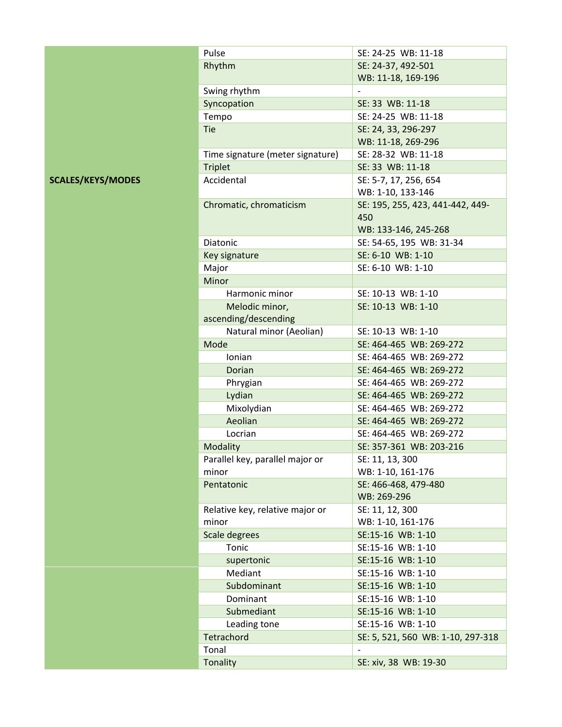|                          | Pulse                            | SE: 24-25 WB: 11-18                                             |
|--------------------------|----------------------------------|-----------------------------------------------------------------|
|                          | Rhythm                           | SE: 24-37, 492-501                                              |
|                          |                                  | WB: 11-18, 169-196                                              |
|                          | Swing rhythm                     |                                                                 |
|                          | Syncopation                      | SE: 33 WB: 11-18                                                |
|                          | Tempo                            | SE: 24-25 WB: 11-18                                             |
|                          | Tie                              | SE: 24, 33, 296-297                                             |
|                          |                                  | WB: 11-18, 269-296                                              |
|                          | Time signature (meter signature) | SE: 28-32 WB: 11-18                                             |
|                          | <b>Triplet</b>                   | SE: 33 WB: 11-18                                                |
| <b>SCALES/KEYS/MODES</b> | Accidental                       | SE: 5-7, 17, 256, 654<br>WB: 1-10, 133-146                      |
|                          | Chromatic, chromaticism          | SE: 195, 255, 423, 441-442, 449-<br>450<br>WB: 133-146, 245-268 |
|                          | Diatonic                         | SE: 54-65, 195 WB: 31-34                                        |
|                          | Key signature                    | SE: 6-10 WB: 1-10                                               |
|                          | Major                            | SE: 6-10 WB: 1-10                                               |
|                          | Minor                            |                                                                 |
|                          | Harmonic minor                   | SE: 10-13 WB: 1-10                                              |
|                          | Melodic minor,                   | SE: 10-13 WB: 1-10                                              |
|                          | ascending/descending             |                                                                 |
|                          | Natural minor (Aeolian)          | SE: 10-13 WB: 1-10                                              |
|                          | Mode                             | SE: 464-465 WB: 269-272                                         |
|                          | Ionian                           | SE: 464-465 WB: 269-272                                         |
|                          | Dorian                           | SE: 464-465 WB: 269-272                                         |
|                          | Phrygian                         | SE: 464-465 WB: 269-272                                         |
|                          | Lydian                           | SE: 464-465 WB: 269-272                                         |
|                          | Mixolydian                       | SE: 464-465 WB: 269-272                                         |
|                          | Aeolian                          | SE: 464-465 WB: 269-272                                         |
|                          | Locrian                          | SE: 464-465 WB: 269-272                                         |
|                          | Modality                         | SE: 357-361 WB: 203-216                                         |
|                          | Parallel key, parallel major or  | SE: 11, 13, 300                                                 |
|                          | minor                            | WB: 1-10, 161-176                                               |
|                          | Pentatonic                       | SE: 466-468, 479-480                                            |
|                          |                                  | WB: 269-296                                                     |
|                          | Relative key, relative major or  | SE: 11, 12, 300                                                 |
|                          | minor                            | WB: 1-10, 161-176                                               |
|                          | Scale degrees                    | SE:15-16 WB: 1-10                                               |
|                          | Tonic                            | SE:15-16 WB: 1-10                                               |
|                          | supertonic                       | SE:15-16 WB: 1-10                                               |
|                          | Mediant                          | SE:15-16 WB: 1-10                                               |
|                          | Subdominant                      | SE:15-16 WB: 1-10                                               |
|                          | Dominant                         | SE:15-16 WB: 1-10                                               |
|                          | Submediant                       | SE:15-16 WB: 1-10                                               |
|                          | Leading tone                     | SE:15-16 WB: 1-10                                               |
|                          | Tetrachord                       | SE: 5, 521, 560 WB: 1-10, 297-318                               |
|                          | Tonal                            | $\overline{\phantom{a}}$                                        |
|                          | Tonality                         | SE: xiv, 38 WB: 19-30                                           |